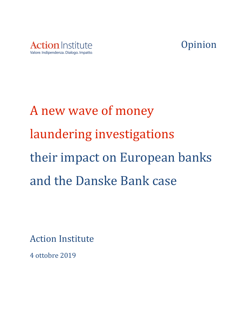



# A new wave of money laundering investigations their impact on European banks and the Danske Bank case

**Action Institute** 

4 ottobre 2019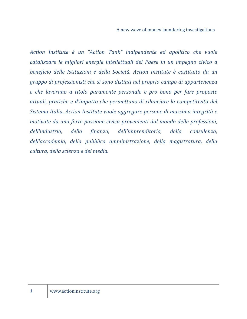A new wave of money laundering investigations

*Action Institute è un "Action Tank" indipendente ed apolitico che vuole catalizzare le migliori energie intellettuali del Paese in un impegno civico a beneficio delle Istituzioni e della Società. Action Institute è costituito da un gruppo di professionisti che si sono distinti nel proprio campo di appartenenza e* che lavorano a titolo puramente personale e pro bono per fare proposte *attuali, pratiche e d'impatto che permettano di rilanciare la competitività del Sistema Italia. Action Institute vuole aggregare persone di massima integrità e motivate da una forte passione civica provenienti dal mondo delle professioni, dell'industria, della finanza, dell'imprenditoria, della consulenza,*  dell'accademia, della pubblica amministrazione, della magistratura, della *cultura, della scienza e dei media.*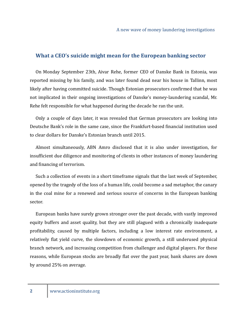#### **What a CEO's suicide might mean for the European banking sector**

On Monday September 23th, Aivar Rehe, former CEO of Danske Bank in Estonia, was reported missing by his family, and was later found dead near his house in Tallinn, most likely after having committed suicide. Though Estonian prosecutors confirmed that he was not implicated in their ongoing investigations of Danske's money-laundering scandal, Mr. Rehe felt responsible for what happened during the decade he ran the unit.

Only a couple of days later, it was revealed that German prosecutors are looking into Deutsche Bank's role in the same case, since the Frankfurt-based financial institution used to clear dollars for Danske's Estonian branch until 2015.

Almost simultaneously, ABN Amro disclosed that it is also under investigation, for insufficient due diligence and monitoring of clients in other instances of money laundering and financing of terrorism.

Such a collection of events in a short timeframe signals that the last week of September, opened by the tragedy of the loss of a human life, could become a sad metaphor, the canary in the coal mine for a renewed and serious source of concerns in the European banking sector.

European banks have surely grown stronger over the past decade, with vastly improved equity buffers and asset quality, but they are still plagued with a chronically inadequate profitability, caused by multiple factors, including a low interest rate environment, a relatively flat yield curve, the slowdown of economic growth, a still underused physical branch network, and increasing competition from challenger and digital players. For these reasons, while European stocks are broadly flat over the past year, bank shares are down by around 25% on average.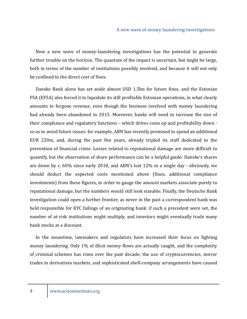Now a new wave of money-laundering investigations has the potential to generate further trouble on the horizon. The quantum of the impact is uncertain, but might be large, both in terms of the number of institutions possibly involved, and because it will not only be confined to the direct cost of fines.

Danske Bank alone has set aside almost USD 1.5bn for future fines, and the Estonian FSA (EFSA) also forced it to liquidate its still profitable Estonian operations, in what clearly amounts to forgone revenue, even though the business involved with money laundering had already been abandoned in 2015. Moreover, banks will need to increase the size of their compliance and regulatory functions - which drives costs up and profitability down so as to avoid future issues: for example, ABN has recently promised to spend an additional EUR 220m, and, during the past five years, already tripled its staff dedicated to the prevention of financial crime. Losses related to reputational damage are more difficult to quantify, but the observation of share performance can be a helpful guide: Danske's shares are down by c.  $60\%$  since early 2018, and ABN's lost 12% in a single day - obviously, we should deduct the expected costs mentioned above (fines, additional compliance investments) from these figures, in order to gauge the amount markets associate purely to reputational damage, but the numbers would still look sizeable. Finally, the Deutsche Bank investigation could open a further frontier, as never in the past a correspondent bank was held responsible for KYC failings of an originating bank: if such a precedent were set, the number of at-risk institutions might multiply, and investors might eventually trade many bank stocks at a discount.

In the meantime, lawmakers and regulators have increased their focus on fighting money laundering. Only 1% of illicit money flows are actually caught, and the complexity of criminal schemes has risen over the past decade: the use of cryptocurrencies, mirror trades in derivatives markets, and sophisticated shell-company arrangements have caused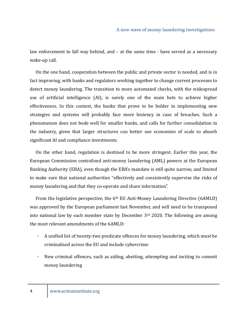law enforcement to fall way behind, and  $-$  at the same time  $-$  have served as a necessary wake-up call.

On the one hand, cooperation between the public and private sector is needed, and is in fact improving, with banks and regulators working together to change current processes to detect money laundering. The transition to more automated checks, with the widespread use of artificial intelligence (AI), is surely one of the main bets to achieve higher effectiveness. In this context, the banks that prove to be bolder in implementing new strategies and systems will probably face more leniency in case of breaches. Such a phenomenon does not bode well for smaller banks, and calls for further consolidation in the industry, given that larger structures can better use economies of scale to absorb significant AI and compliance investments.

On the other hand, regulation is destined to be more stringent. Earlier this year, the European Commission centralised anti-money laundering (AML) powers at the European Banking Authority (EBA), even though the EBA's mandate is still quite narrow, and limited to make sure that national authorities "effectively and consistently supervise the risks of money laundering and that they co-operate and share information".

From the legislative perspective, the  $6<sup>th</sup>$  EU Anti-Money Laundering Directive (6AMLD) was approved by the European parliament last November, and will need to be transposed into national law by each member state by December  $3<sup>rd</sup>$  2020. The following are among the most relevant amendments of the 6AMLD:

- A unified list of twenty-two predicate offences for money laundering, which must be criminalised across the EU and include cybercrime
- New criminal offences, such as aiding, abetting, attempting and inciting to commit money laundering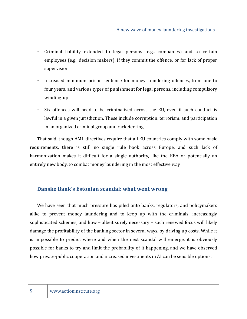- Criminal liability extended to legal persons (e.g., companies) and to certain employees (e.g., decision makers), if they commit the offence, or for lack of proper supervision
- Increased minimum prison sentence for money laundering offences, from one to four years, and various types of punishment for legal persons, including compulsory winding-up
- Six offences will need to be criminalised across the EU, even if such conduct is lawful in a given jurisdiction. These include corruption, terrorism, and participation in an organized criminal group and racketeering.

That said, though AML directives require that all EU countries comply with some basic requirements, there is still no single rule book across Europe, and such lack of harmonization makes it difficult for a single authority, like the EBA or potentially an entirely new body, to combat money laundering in the most effective way.

### **Danske Bank's Estonian scandal: what went wrong**

We have seen that much pressure has piled onto banks, regulators, and policymakers alike to prevent money laundering and to keep up with the criminals' increasingly sophisticated schemes, and how – albeit surely necessary – such renewed focus will likely damage the profitability of the banking sector in several ways, by driving up costs. While it is impossible to predict where and when the next scandal will emerge, it is obviously possible for banks to try and limit the probability of it happening, and we have observed how private-public cooperation and increased investments in AI can be sensible options.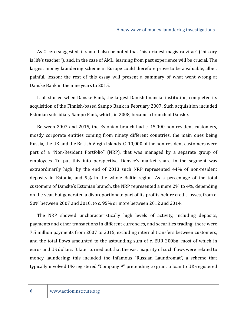#### A new wave of money laundering investigations

As Cicero suggested, it should also be noted that "historia est magistra vitae" ("history is life's teacher"), and, in the case of AML, learning from past experience will be crucial. The largest money laundering scheme in Europe could therefore prove to be a valuable, albeit painful, lesson: the rest of this essay will present a summary of what went wrong at Danske Bank in the nine years to 2015.

It all started when Danske Bank, the largest Danish financial institution, completed its acquisition of the Finnish-based Sampo Bank in February 2007. Such acquisition included Estonian subsidiary Sampo Pank, which, in 2008, became a branch of Danske.

Between 2007 and 2015, the Estonian branch had c. 15,000 non-resident customers, mostly corporate entities coming from ninety different countries, the main ones being Russia, the UK and the British Virgin Islands. C. 10,000 of the non-resident customers were part of a "Non-Resident Portfolio" (NRP), that was managed by a separate group of employees. To put this into perspective, Danske's market share in the segment was extraordinarily high: by the end of 2013 such NRP represented 44% of non-resident deposits in Estonia, and 9% in the whole Baltic region. As a percentage of the total customers of Danske's Estonian branch, the NRP represented a mere 2% to 4%, depending on the year, but generated a disproportionate part of its profits before credit losses, from c. 50% between 2007 and 2010, to c. 95% or more between 2012 and 2014.

The NRP showed uncharacteristically high levels of activity, including deposits, payments and other transactions in different currencies, and securities trading: there were 7.5 million payments from 2007 to 2015, excluding internal transfers between customers, and the total flows amounted to the astounding sum of c. EUR 200bn, most of which in euros and US dollars. It later turned out that the vast majority of such flows were related to money laundering: this included the infamous "Russian Laundromat", a scheme that typically involved UK-registered "Company A" pretending to grant a loan to UK-registered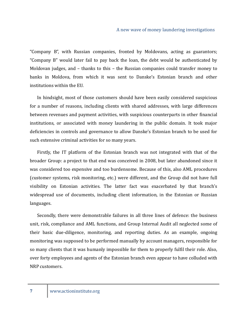"Company B", with Russian companies, fronted by Moldovans, acting as guarantors; "Company B" would later fail to pay back the loan, the debt would be authenticated by Moldovan judges, and  $-$  thanks to this  $-$  the Russian companies could transfer money to banks in Moldova, from which it was sent to Danske's Estonian branch and other institutions within the EU.

In hindsight, most of those customers should have been easily considered suspicious for a number of reasons, including clients with shared addresses, with large differences between revenues and payment activities, with suspicious counterparts in other financial institutions, or associated with money laundering in the public domain. It took major deficiencies in controls and governance to allow Danske's Estonian branch to be used for such extensive criminal activities for so many years.

Firstly, the IT platform of the Estonian branch was not integrated with that of the broader Group: a project to that end was conceived in 2008, but later abandoned since it was considered too expensive and too burdensome. Because of this, also AML procedures (customer systems, risk monitoring, etc.) were different, and the Group did not have full visibility on Estonian activities. The latter fact was exacerbated by that branch's widespread use of documents, including client information, in the Estonian or Russian languages.

Secondly, there were demonstrable failures in all three lines of defence: the business unit, risk, compliance and AML functions, and Group Internal Audit all neglected some of their basic due-diligence, monitoring, and reporting duties. As an example, ongoing monitoring was supposed to be performed manually by account managers, responsible for so many clients that it was humanly impossible for them to properly fulfil their role. Also, over forty employees and agents of the Estonian branch even appear to have colluded with NRP customers.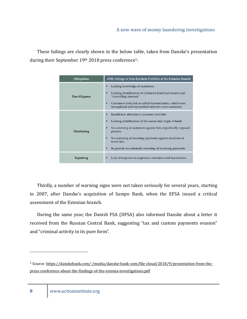These failings are clearly shown in the below table, taken from Danske's presentation during their September 19th 2018 press conference<sup>1</sup>:

| <b>Obligations</b> | AML failings re Non-Resident Portfolio at the Estonian branch                                                                                                                                                                                                                                                                                        |
|--------------------|------------------------------------------------------------------------------------------------------------------------------------------------------------------------------------------------------------------------------------------------------------------------------------------------------------------------------------------------------|
| Due diligence      | Lacking knowledge of customers<br>٠<br>Lacking identification of (ultimate) beneficial owners and<br>$\blacksquare$<br>"controlling interests"<br>Customers included so-called intermediaries, which were<br>٠<br>unregulated and represented unknown end-customers                                                                                  |
| Monitoring         | Insufficient attention to customer activities<br>٠<br>Lacking identification of the source and origin of funds<br>٠<br>No screening of customers against lists of politically exposed<br>٠<br>persons<br>No screening of incoming payments against sanctions or<br>٠<br>terror lists<br>In general, no automatic screening of incoming payments<br>٠ |
| Reporting          | Lack of response to suspicious customers and transactions                                                                                                                                                                                                                                                                                            |

Thirdly, a number of warning signs were not taken seriously for several years, starting in 2007, after Danske's acquisition of Sampo Bank, when the EFSA issued a critical assessment of the Estonian branch.

During the same year, the Danish FSA (DFSA) also informed Danske about a letter it received from the Russian Central Bank, suggesting "tax and custom payments evasion" and "criminal activity in its pure form".

<sup>&</sup>lt;sup>1</sup> Source: https://danskebank.com/-/media/danske-bank-com/file-cloud/2018/9/presentation-from-thepress-conference-about-the-findings-of-the-estonia-investigations.pdf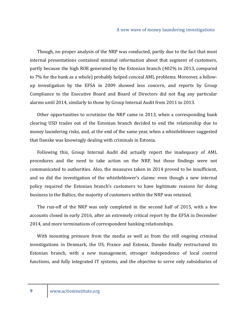Though, no proper analysis of the NRP was conducted, partly due to the fact that most internal presentations contained minimal information about that segment of customers, partly because the high ROE generated by the Estonian branch (402% in 2013, compared to 7% for the bank as a whole) probably helped conceal AML problems. Moreover, a followup investigation by the EFSA in 2009 showed less concern, and reports by Group Compliance to the Executive Board and Board of Directors did not flag any particular alarms until 2014, similarly to those by Group Internal Audit from 2011 to 2013.

Other opportunities to scrutinise the NRP came in 2013, when a corresponding bank clearing USD trades out of the Estonian branch decided to end the relationship due to money laundering risks, and, at the end of the same year, when a whistleblower suggested that Danske was knowingly dealing with criminals in Estonia.

Following this, Group Internal Audit did actually report the inadequacy of AML procedures and the need to take action on the NRP, but those findings were not communicated to authorities. Also, the measures taken in 2014 proved to be insufficient, and so did the investigation of the whistleblower's claims: even though a new internal policy required the Estonian branch's customers to have legitimate reasons for doing business in the Baltics, the majority of customers within the NRP was retained.

The run-off of the NRP was only completed in the second half of 2015, with a few accounts closed in early 2016, after an extremely critical report by the EFSA in December 2014, and more terminations of correspondent banking relationships.

With mounting pressure from the media as well as from the still ongoing criminal investigations in Denmark, the US, France and Estonia, Danske finally restructured its Estonian branch, with a new management, stronger independence of local control functions, and fully integrated IT systems, and the objective to serve only subsidiaries of